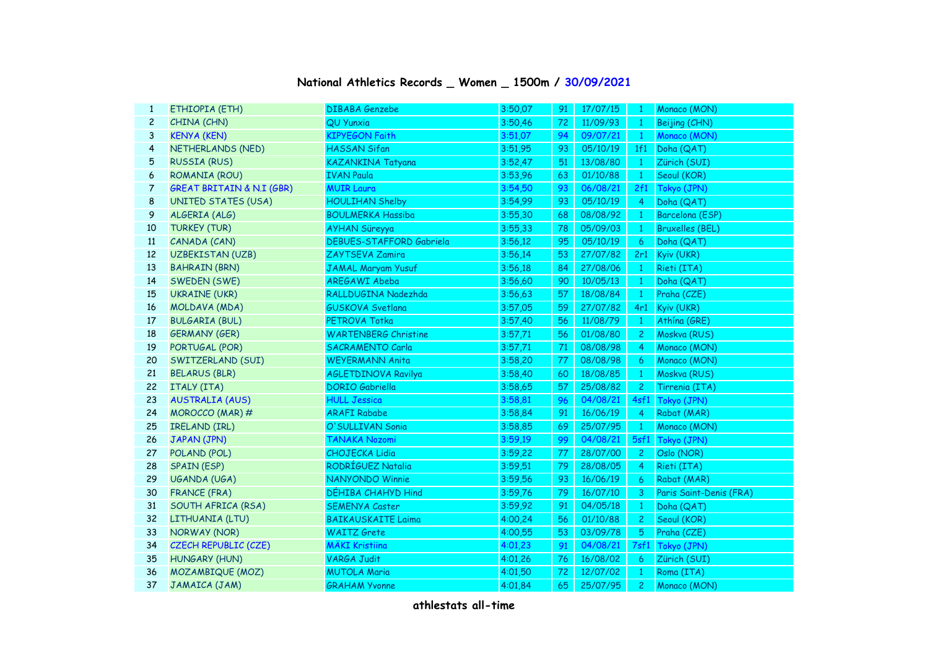## **National Athletics Records \_ Women \_ 1500m / 30/09/2021**

| $\mathbf{1}$   | ETHIOPIA (ETH)                       | <b>DIBABA Genzebe</b>           | 3:50,07 | 91 | 17/07/15 | - 1            | Monaco (MON)            |
|----------------|--------------------------------------|---------------------------------|---------|----|----------|----------------|-------------------------|
| $\overline{c}$ | CHINA (CHN)                          | QU Yunxia                       | 3:50,46 | 72 | 11/09/93 | $\mathbf{1}$   | Beijing (CHN)           |
| 3              | <b>KENYA (KEN)</b>                   | <b>KIPYEGON Faith</b>           | 3:51,07 | 94 | 09/07/21 | $\mathbf{1}$   | Monaco (MON)            |
| $\overline{4}$ | NETHERLANDS (NED)                    | <b>HASSAN Sifan</b>             | 3:51,95 | 93 | 05/10/19 | 1f1            | Doha (QAT)              |
| 5              | <b>RUSSIA (RUS)</b>                  | KAZANKINA Tatyana               | 3:52,47 | 51 | 13/08/80 | $\mathbf{1}$   | Zürich (SUI)            |
| 6              | ROMANIA (ROU)                        | <b>IVAN Paula</b>               | 3:53.96 | 63 | 01/10/88 | $\mathbf{1}$   | Seoul (KOR)             |
| 7              | <b>GREAT BRITAIN &amp; N.I (GBR)</b> | <b>MUIR Laura</b>               | 3:54,50 | 93 | 06/08/21 | 2f1            | Tokyo (JPN)             |
| 8              | <b>UNITED STATES (USA)</b>           | <b>HOULIHAN Shelby</b>          | 3:54,99 | 93 | 05/10/19 | $\overline{4}$ | Doha (QAT)              |
| 9              | ALGERIA (ALG)                        | <b>BOULMERKA Hassiba</b>        | 3:55,30 | 68 | 08/08/92 | $\mathbf{1}$   | Barcelona (ESP)         |
| 10             | <b>TURKEY (TUR)</b>                  | <b>AYHAN Süreyya</b>            | 3:55,33 | 78 | 05/09/03 | $\mathbf{1}$   | <b>Bruxelles (BEL)</b>  |
| 11             | CANADA (CAN)                         | <b>DEBUES-STAFFORD Gabriela</b> | 3:56,12 | 95 | 05/10/19 | 6              | Doha (QAT)              |
| 12             | <b>UZBEKISTAN (UZB)</b>              | ZAYTSEVA Zamira                 | 3:56,14 | 53 | 27/07/82 | 2r1            | Kyiv (UKR)              |
| 13             | <b>BAHRAIN (BRN)</b>                 | <b>JAMAL Maryam Yusuf</b>       | 3:56,18 | 84 | 27/08/06 | $\mathbf{1}$   | Rieti (ITA)             |
| 14             | SWEDEN (SWE)                         | AREGAWI Abeba                   | 3:56,60 | 90 | 10/05/13 | $\mathbf{1}$   | Doha (QAT)              |
| 15             | <b>UKRAINE (UKR)</b>                 | RALLDUGINA Nadezhda             | 3:56,63 | 57 | 18/08/84 | $\mathbf{1}$   | Praha (CZE)             |
| 16             | MOLDAVA (MDA)                        | <b>GUSKOVA Svetlana</b>         | 3:57,05 | 59 | 27/07/82 | 4r1            | Kyiv (UKR)              |
| 17             | <b>BULGARIA (BUL)</b>                | PETROVA Totka                   | 3:57,40 | 56 | 11/08/79 | $\mathbf{1}$   | Athína (GRE)            |
| 18             | <b>GERMANY (GER)</b>                 | <b>WARTENBERG Christine</b>     | 3:57,71 | 56 | 01/08/80 | $\overline{c}$ | Moskva (RUS)            |
| 19             | PORTUGAL (POR)                       | <b>SACRAMENTO Carla</b>         | 3:57,71 | 71 | 08/08/98 | 4              | Monaco (MON)            |
| 20             | SWITZERLAND (SUI)                    | <b>WEYERMANN Anita</b>          | 3:58,20 | 77 | 08/08/98 | 6              | Monaco (MON)            |
| 21             | <b>BELARUS (BLR)</b>                 | AGLETDINOVA Ravilya             | 3:58,40 | 60 | 18/08/85 | $\mathbf{1}$   | Moskva (RUS)            |
| 22             | ITALY (ITA)                          | <b>DORIO</b> Gabriella          | 3:58,65 | 57 | 25/08/82 | $\mathbf{2}$   | Tirrenia (ITA)          |
| 23             | <b>AUSTRALIA (AUS)</b>               | <b>HULL Jessica</b>             | 3:58,81 | 96 | 04/08/21 | 4sf1           | Tokyo (JPN)             |
| 24             | MOROCCO (MAR) #                      | <b>ARAFI Rababe</b>             | 3:58,84 | 91 | 16/06/19 | $\overline{4}$ | Rabat (MAR)             |
| 25             | <b>IRELAND (IRL)</b>                 | O'SULLIVAN Sonia                | 3:58,85 | 69 | 25/07/95 | $\mathbf{1}$   | Monaco (MON)            |
| 26             | JAPAN (JPN)                          | <b>TANAKA Nozomi</b>            | 3:59,19 | 99 | 04/08/21 |                | 5sf1 Tokyo (JPN)        |
| 27             | POLAND (POL)                         | <b>CHOJECKA Lidia</b>           | 3:59,22 | 77 | 28/07/00 | $\mathbf{2}$   | Oslo (NOR)              |
| 28             | <b>SPAIN (ESP)</b>                   | RODRÍGUEZ Natalia               | 3:59,51 | 79 | 28/08/05 | $\overline{4}$ | Rieti (ITA)             |
| 29             | UGANDA (UGA)                         | <b>NANYONDO Winnie</b>          | 3:59,56 | 93 | 16/06/19 | 6              | Rabat (MAR)             |
| 30             | <b>FRANCE (FRA)</b>                  | DÉHIBA CHAHYD Hind              | 3:59,76 | 79 | 16/07/10 | 3              | Paris Saint-Denis (FRA) |
| 31             | SOUTH AFRICA (RSA)                   | <b>SEMENYA Caster</b>           | 3:59,92 | 91 | 04/05/18 | $\mathbf{1}$   | Doha (QAT)              |
| 32             | LITHUANIA (LTU)                      | <b>BAIKAUSKAITE Laima</b>       | 4:00,24 | 56 | 01/10/88 | $\mathbf{2}$   | Seoul (KOR)             |
| 33             | <b>NORWAY (NOR)</b>                  | <b>WAITZ</b> Grete              | 4:00,55 | 53 | 03/09/78 | 5              | Praha (CZE)             |
| 34             | CZECH REPUBLIC (CZE)                 | <b>MÄKI Kristiina</b>           | 4:01,23 | 91 | 04/08/21 |                | 7sf1 Tokyo (JPN)        |
| 35             | <b>HUNGARY (HUN)</b>                 | <b>VARGA Judit</b>              | 4:01,26 | 76 | 16/08/02 | 6              | Zürich (SUI)            |
| 36             | MOZAMBIQUE (MOZ)                     | <b>MUTOLA Maria</b>             | 4:01,50 | 72 | 12/07/02 | $\mathbf{1}$   | Roma (ITA)              |
| 37             | JAMAICA (JAM)                        | <b>GRAHAM Yvonne</b>            | 4:01,84 | 65 | 25/07/95 | $\overline{c}$ | Monaco (MON)            |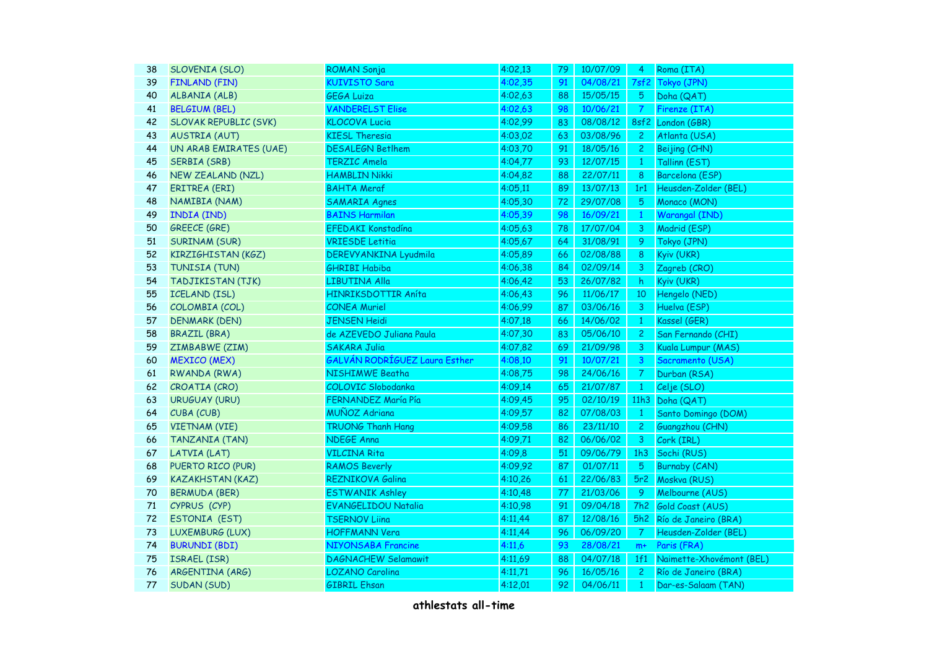| 38 | SLOVENIA (SLO)               | <b>ROMAN Sonja</b>            | 4:02,13 | 79 | 10/07/09 | 4              | Roma (ITA)               |
|----|------------------------------|-------------------------------|---------|----|----------|----------------|--------------------------|
| 39 | <b>FINLAND (FIN)</b>         | <b>KUIVISTO Sara</b>          | 4:02,35 | 91 | 04/08/21 | 7sf2           | Tokyo (JPN)              |
| 40 | ALBANIA (ALB)                | <b>GEGA Luiza</b>             | 4:02,63 | 88 | 15/05/15 | $5^{\circ}$    | Doha (QAT)               |
| 41 | <b>BELGIUM (BEL)</b>         | <b>VANDERELST Elise</b>       | 4:02,63 | 98 | 10/06/21 | $\overline{7}$ | Firenze (ITA)            |
| 42 | <b>SLOVAK REPUBLIC (SVK)</b> | <b>KLOCOVA Lucia</b>          | 4:02,99 | 83 | 08/08/12 |                | 8sf2 London (GBR)        |
| 43 | <b>AUSTRIA (AUT)</b>         | <b>KIESL Theresia</b>         | 4:03,02 | 63 | 03/08/96 | $\mathbf{2}$   | Atlanta (USA)            |
| 44 | UN ARAB EMIRATES (UAE)       | <b>DESALEGN Betlhem</b>       | 4:03,70 | 91 | 18/05/16 | $\mathbf{2}$   | Beijing (CHN)            |
| 45 | <b>SERBIA (SRB)</b>          | <b>TERZIC Amela</b>           | 4:04,77 | 93 | 12/07/15 | $\mathbf{1}$   | Tallinn (EST)            |
| 46 | <b>NEW ZEALAND (NZL)</b>     | <b>HAMBLIN Nikki</b>          | 4:04,82 | 88 | 22/07/11 | 8              | Barcelona (ESP)          |
| 47 | <b>ERITREA (ERI)</b>         | <b>BAHTA Meraf</b>            | 4:05,11 | 89 | 13/07/13 | 1r1            | Heusden-Zolder (BEL)     |
| 48 | NAMIBIA (NAM)                | <b>SAMARIA Agnes</b>          | 4:05,30 | 72 | 29/07/08 | 5              | Monaco (MON)             |
| 49 | <b>INDIA (IND)</b>           | <b>BAINS Harmilan</b>         | 4:05,39 | 98 | 16/09/21 | $\mathbf{1}$   | Warangal (IND)           |
| 50 | <b>GREECE (GRE)</b>          | EFEDAKI Konstadína            | 4:05,63 | 78 | 17/07/04 | 3              | Madrid (ESP)             |
| 51 | <b>SURINAM (SUR)</b>         | <b>VRIESDE Letitia</b>        | 4:05,67 | 64 | 31/08/91 | 9              | Tokyo (JPN)              |
| 52 | KIRZIGHISTAN (KGZ)           | DEREVY ANKINA Lyudmila        | 4:05,89 | 66 | 02/08/88 | 8              | Kyiv (UKR)               |
| 53 | TUNISIA (TUN)                | <b>GHRIBI Habiba</b>          | 4:06,38 | 84 | 02/09/14 | 3              | Zagreb (CRO)             |
| 54 | TADJIKISTAN (TJK)            | LIBUTINA Alla                 | 4:06,42 | 53 | 26/07/82 | h              | Kyiv (UKR)               |
| 55 | <b>ICELAND (ISL)</b>         | HINRIKSDOTTIR Aníta           | 4:06,43 | 96 | 11/06/17 | 10             | Hengelo (NED)            |
| 56 | COLOMBIA (COL)               | <b>CONEA Muriel</b>           | 4:06,99 | 87 | 03/06/16 | 3              | Huelva (ESP)             |
| 57 | <b>DENMARK (DEN)</b>         | <b>JENSEN Heidi</b>           | 4:07,18 | 66 | 14/06/02 | $\mathbf{1}$   | Kassel (GER)             |
| 58 | <b>BRAZIL (BRA)</b>          | de AZEVEDO Juliana Paula      | 4:07,30 | 83 | 05/06/10 | $\mathbf{2}$   | San Fernando (CHI)       |
| 59 | ZIMBABWE (ZIM)               | <b>SAKARA Julia</b>           | 4:07,82 | 69 | 21/09/98 | 3              | Kuala Lumpur (MAS)       |
| 60 | <b>MEXICO (MEX)</b>          | GALVÁN RODRÍGUEZ Laura Esther | 4:08,10 | 91 | 10/07/21 | 3              | Sacramento (USA)         |
| 61 | <b>RWANDA (RWA)</b>          | <b>NISHIMWE Beatha</b>        | 4:08,75 | 98 | 24/06/16 | $\mathcal{T}$  | Durban (RSA)             |
| 62 | CROATIA (CRO)                | COLOVIC Slobodanka            | 4:09,14 | 65 | 21/07/87 | $\mathbf{1}$   | Celje (SLO)              |
| 63 | <b>URUGUAY (URU)</b>         | FERNANDEZ María Pía           | 4:09,45 | 95 | 02/10/19 |                | 11h3 Doha (QAT)          |
| 64 | CUBA (CUB)                   | MUÑOZ Adriana                 | 4:09,57 | 82 | 07/08/03 | $\mathbf{1}$   | Santo Domingo (DOM)      |
| 65 | <b>VIETNAM (VIE)</b>         | <b>TRUONG Thanh Hang</b>      | 4:09,58 | 86 | 23/11/10 | $\mathbf{2}$   | Guangzhou (CHN)          |
| 66 | <b>TANZANIA (TAN)</b>        | <b>NDEGE Anna</b>             | 4:09,71 | 82 | 06/06/02 | 3              | Cork (IRL)               |
| 67 | LATVIA (LAT)                 | <b>VILCINA Rita</b>           | 4:09,8  | 51 | 09/06/79 | 1h3            | Sochi (RUS)              |
| 68 | PUERTO RICO (PUR)            | <b>RAMOS Beverly</b>          | 4:09,92 | 87 | 01/07/11 | $5^{\circ}$    | Burnaby (CAN)            |
| 69 | <b>KAZAKHSTAN (KAZ)</b>      | <b>REZNIKOVA Galina</b>       | 4:10,26 | 61 | 22/06/83 |                | 5r2 Moskva (RUS)         |
| 70 | <b>BERMUDA (BER)</b>         | <b>ESTWANIK Ashley</b>        | 4:10,48 | 77 | 21/03/06 | 9              | Melbourne (AUS)          |
| 71 | CYPRUS (CYP)                 | <b>EVANGELIDOU Natalia</b>    | 4:10,98 | 91 | 09/04/18 | 7h2            | Gold Coast (AUS)         |
| 72 | ESTONIA (EST)                | <b>TSERNOV Liina</b>          | 4:11,44 | 87 | 12/08/16 | 5h2            | Río de Janeiro (BRA)     |
| 73 | LUXEMBURG (LUX)              | <b>HOFFMANN Vera</b>          | 4:11,44 | 96 | 06/09/20 | $\mathcal{T}$  | Heusden-Zolder (BEL)     |
| 74 | <b>BURUNDI (BDI)</b>         | NIYONSABA Francine            | 4:11,6  | 93 | 28/08/21 | $m+$           | Paris (FRA)              |
| 75 | ISRAEL (ISR)                 | <b>DAGNACHEW Selamawit</b>    | 4:11,69 | 88 | 04/07/18 | 1f1            | Naimette-Xhovémont (BEL) |
| 76 | ARGENTINA (ARG)              | LOZANO Carolina               | 4:11,71 | 96 | 16/05/16 | $\overline{c}$ | Río de Janeiro (BRA)     |
| 77 | <b>SUDAN (SUD)</b>           | <b>GIBRIL Ehsan</b>           | 4:12.01 | 92 | 04/06/11 | $\mathbf{1}$   | Dar-es-Salaam (TAN)      |